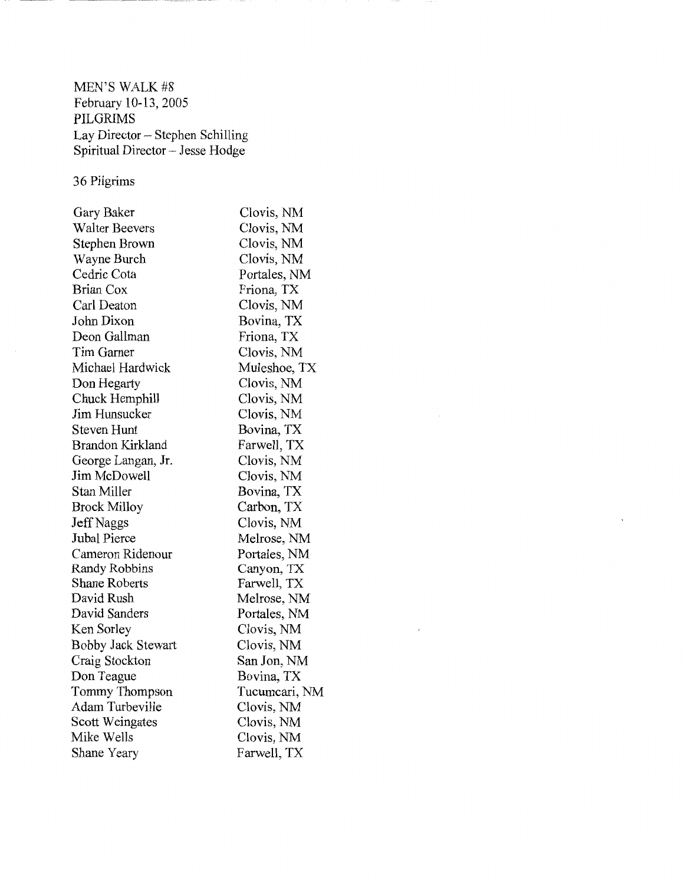MEN'S WALK #8 February 10-13, 2005 PILGRIMS Lay Director ~ Stephen Schilling Spiritual Director- Jesse Hodge

36 Pilgrims

| Gary Baker            | Clovis, NM    |
|-----------------------|---------------|
| <b>Walter Beevers</b> | Clovis, NM    |
| Stephen Brown         | Clovis, NM    |
| Wayne Burch           | Clovis, NM    |
| Cedric Cota           | Portales, NM  |
| Brian Cox             | Friona, TX    |
| Carl Deaton           | Clovis, NM    |
| John Dixon            | Bovina, TX    |
| Deon Gallman          | Friona, TX    |
| Tim Garner            | Clovis, NM    |
| Michael Hardwick      | Muleshoe, TX  |
| Don Hegarty           | Clovis, NM    |
| Chuck Hemphill        | Clovis, NM    |
| Jim Hunsucker         | Clovis, NM    |
| <b>Steven Hunt</b>    | Bovina, TX    |
| Brandon Kirkland      | Farwell, TX   |
| George Langan, Jr.    | Clovis, NM    |
| Jim McDowell          | Clovis, NM    |
| Stan Miller           | Bovina, TX    |
| <b>Brock Milloy</b>   | Carbon, TX    |
| <b>Jeff Naggs</b>     | Clovis, NM    |
| Jubal Pierce          | Melrose, NM   |
| Cameron Ridenour      | Portales, NM  |
| Randy Robbins         | Canyon, TX    |
| Shane Roberts         | Farwell, TX   |
| David Rush            | Melrose, NM   |
| David Sanders         | Portales, NM  |
| Ken Sorley            | Clovis, NM    |
| Bobby Jack Stewart    | Clovis, NM    |
| Craig Stockton        | San Jon, NM   |
| Don Teague            | Bovina, TX    |
| Tommy Thompson        | Tucumcari, NM |
| Adam Turbeville       | Clovis, NM    |
| Scott Weingates       | Clovis, NM    |
| Mike Wells            | Clovis, NM    |
| Shane Yeary           | Farwell, TX   |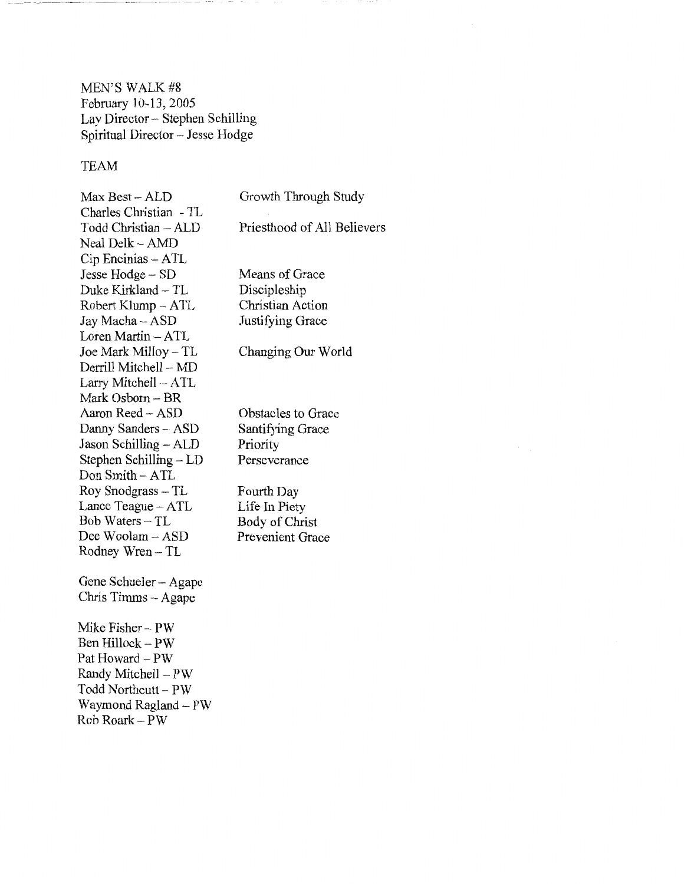MEN'S WALK #8 February 10-13, 2005 Lay Director- Stephen Schilling Spiritual Director- Jesse Hodge

## TEAM

| Max Best - ALD<br>Charles Christian - TL | Growth Through Study        |
|------------------------------------------|-----------------------------|
| Todd Christian - ALD                     | Priesthood of All Believers |
| Neal Delk – AMD                          |                             |
| $Cip$ Encinias $-$ ATL                   | Means of Grace              |
| Jesse Hodge -- SD<br>Duke Kirkland - TL  | Discipleship                |
| Robert Klump - ATL                       | Christian Action            |
| Jay Macha - ASD                          | Justifying Grace            |
| Loren Martin - ATL                       |                             |
| Joe Mark Milloy - TL                     | Changing Our World          |
| Derrill Mitchell – MD                    |                             |
| Larry Mitchell - ATL                     |                             |
| Mark Osborn - BR                         |                             |
| Aaron Reed - ASD                         | Obstacles to Grace          |
| Danny Sanders - ASD                      | Santifying Grace            |
| Jason Schilling - ALD                    | Priority                    |
| Stephen Schilling - LD                   | Perseverance                |
| Don Smith - ATL                          |                             |
| Roy Snodgrass – TL                       | Fourth Day                  |
| Lance Teague - ATL                       | Life In Piety               |
| Bob Waters – TL                          | Body of Christ              |
| Dee Woolam - ASD                         | <b>Prevenient Grace</b>     |
| Rodney Wren – TL                         |                             |
| Gene Schueler – Agape                    |                             |
| Chris Timms – Agape                      |                             |
| Mike Fisher - PW                         |                             |
| Ben Hillock - PW                         |                             |
| Pat Howard - PW                          |                             |
| Randy Mitchell - PW                      |                             |
| Todd Northcutt – PW                      |                             |
| Waymond Ragland - PW                     |                             |
| Rob Roark – PW                           |                             |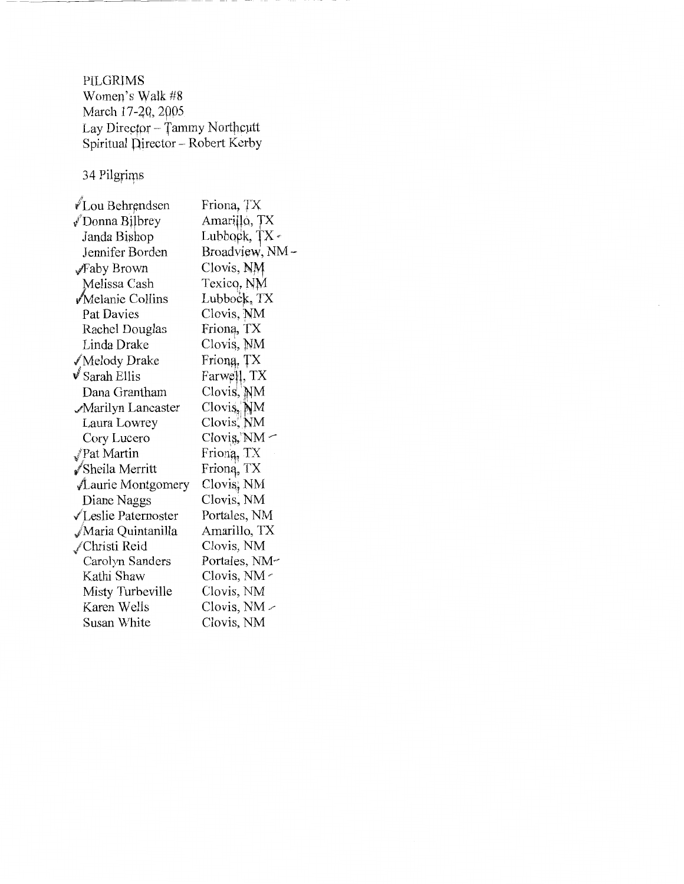PILGRIMS Women's Walk #8 March 17-20, 2005 Lay Director -- Tammy Northcutt Spiritual Director – Robert Kerby

34 Pilgrims

l

| √Lou Behrendsen        | Friona, TX    |
|------------------------|---------------|
| √Donna Bilbrey         | Amarillo, TX  |
| Janda Bishop           | Lubbock, TX - |
| Jennifer Borden        | Broadview, NM |
| √Faby Brown            | Clovis, NM    |
| Melissa Cash           | Texicq, NM    |
| √Melanie Collins       | Lubbock, TX   |
| Pat Davies             | Clovis, NM    |
| Rachel Douglas         | Frioną, TX    |
| Linda Drake            | Clovis, NM    |
| √Melody Drake          | Friong, TX    |
| $\sqrt{s}$ Sarah Ellis | Farwell, TX   |
| Dana Grantham          | Clovis, NM    |
| √Marilyn Lancaster     | Clovis, M     |
| Laura Lowrey           | Clovis, NM    |
| Cory Lucero            | Clovis, NM -  |
| Pat Martin             | Friong, TX    |
| √Sheila Merritt        | Frioną, TX    |
| ALaurie Montgomery     | Clovis, NM    |
| Diane Naggs            | Clovis, NM    |
| √Leslie Paternoster    | Portales, NM  |
| √Maria Quintanilla     | Amarillo, TX  |
| ∕Christi Reid          | Clovis, NM    |
| Carolyn Sanders        | Portales, NM- |
| Kathi Shaw             | Clovis, NM -  |
| Misty Turbeville       | Clovis, NM    |
| Karen Wells            | Clovis, NM ~  |
| Susan White            | Clovis, NM    |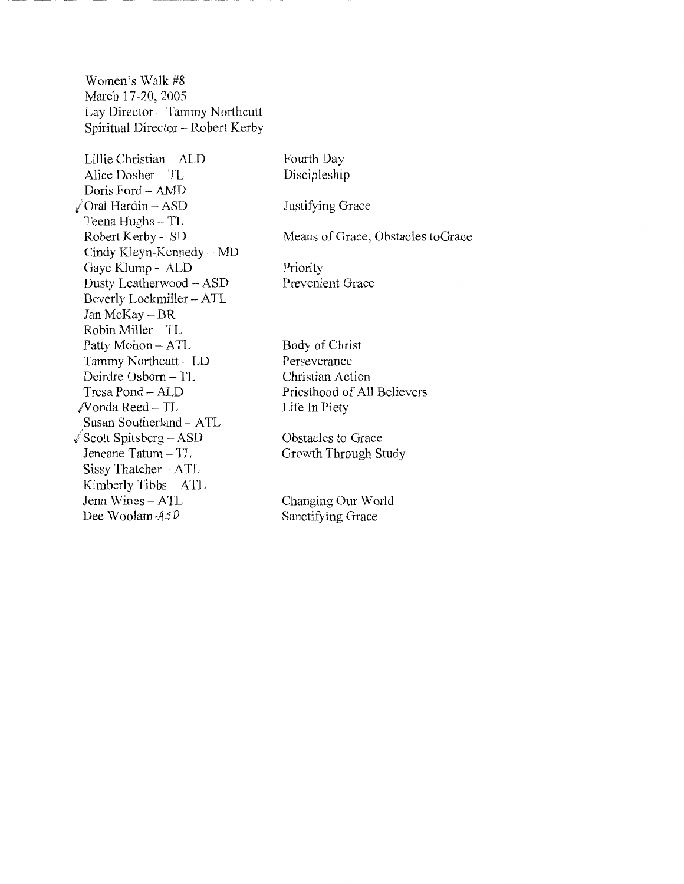Women's Walk #8 March 17-20, 2005 Lay Director- Tammy Northcutt Spiritual Director- Robert Kerby

Lillie Christian - ALD Alice Dosher - TL Doris Ford - AMD  $\sqrt{}$ Oral Hardin - ASD Teena Hughs- TL Robert Kerby - SD Cindy Kleyn-Kennedy- MD Gaye Klump- ALD Dusty Leatherwood - ASD Beverly Lockmiller- ATL Jan McKay- BR Robin Miller- TL Patty Mohon- ATL Tammy Northcutt- LD Deirdre Osborn - TL Tresa Pond- ALD /Vonda Reed- TL Susan Southerland- ATL  $\sqrt{$$  Scott Spitsberg – ASD Jeneane Tatum- TL Sissy Thatcher- ATL Kimberly Tibbs- ATL Jenn Wines - ATL Dee Woolam-A50 Fourth Day Discipleship Justifying Grace Means of Grace, Obstacles toGrace Priority Prevenient Grace Body of Christ Perseverance Christian Action Priesthood of All Believers Life In Piety Obstacles to Grace Growth Through Study Changing Our World Sanctifying Grace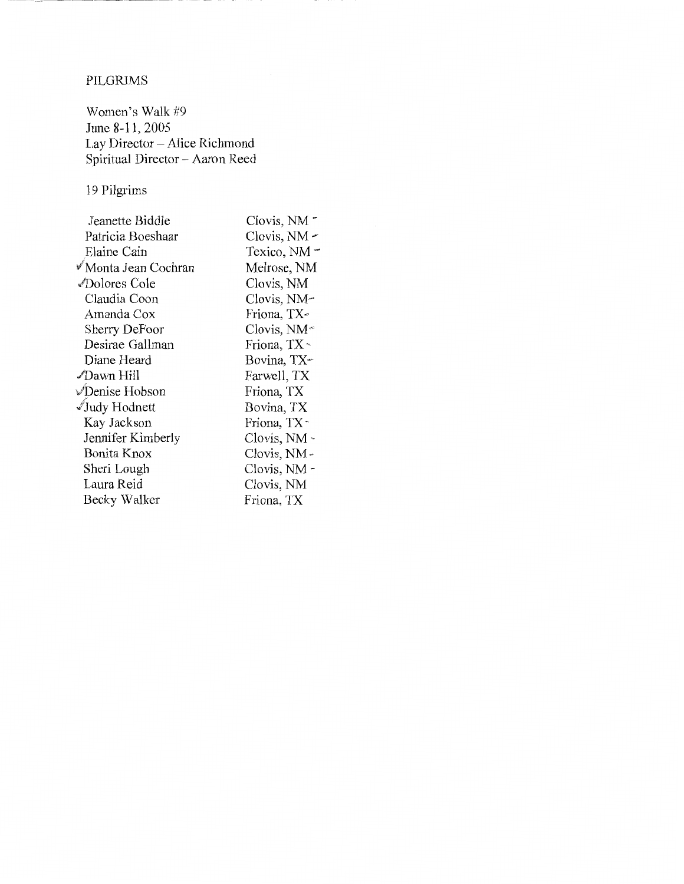## PILGRIMS

Women's Walk #9 June 8-11, 2005 Lay Director- Alice Richmond Spiritual Director- Aaron Reed

19 Pilgrims

| Clovis, NM -   |
|----------------|
| Clovis, $NM -$ |
| Texico, NM -   |
| Melrose, NM    |
| Clovis, NM     |
| Clovis, NM-    |
| Friona, TX-    |
| Clovis, $NM^*$ |
| Friona, TX *   |
| Bovina, TX     |
| Farwell, TX    |
| Friona, TX     |
| Bovina, TX     |
| Friona, TX-    |
| Clovis, NM -   |
| Clovis, NM -   |
| Clovis, NM -   |
| Clovis, NM     |
| Friona, TX     |
|                |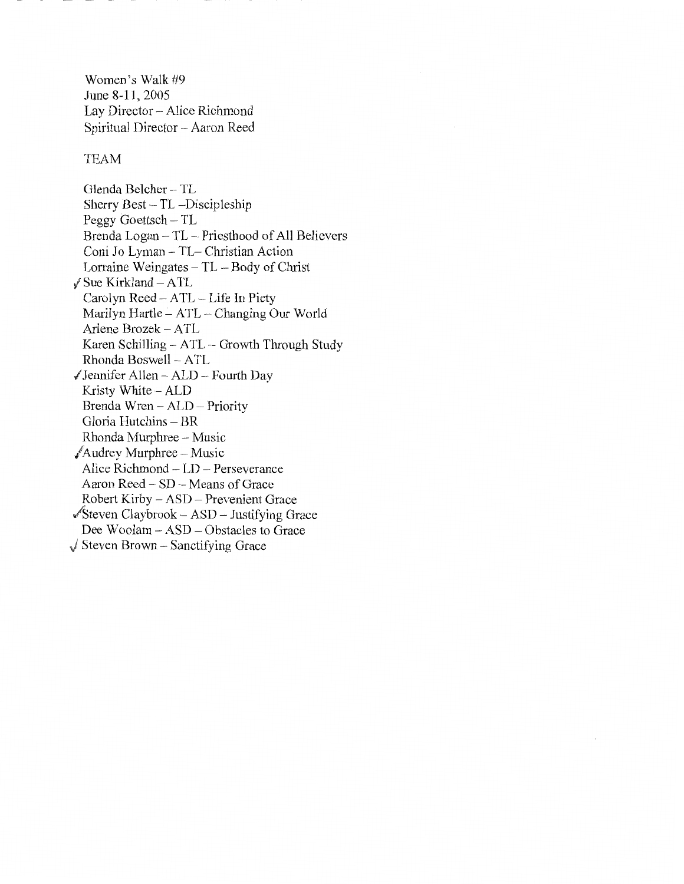Women's Walk #9 June 8-11, 2005 Lay Director- Alice Richmond Spiritual Director- Aaron Reed

#### TEAM

Glenda Belcher- TL Sherry Best- TL -Discipleship Peggy Goettsch – TL Brenda Logan - TL - Priesthood of All Believers Coni Jo Lyman- TL- Christian Action Lorraine Weingates- TL -Body of Christ  $\sqrt{}$  Sue Kirkland - ATL Carolyn Reed- A TL - Life In Piety Marilyn Hartle - ATL - Changing Our World Arlene Brozek - ATL Karen Schilling- ATL- Growth Through Study Rhonda Boswell - ATL  $\sqrt{}$  Jennifer Allen – ALD – Fourth Day Kristy White - ALD Brenda Wren- ALD- Priority Gloria Hutchins- BR Rhonda Murphree- Music  $\sqrt{\text{Audrey Murphy}}$  – Music Alice Richmond - LD - Perseverance Aaron Reed - SD - Means of Grace Robert Kirby - ASD - Prevenient Grace  $\sqrt{\text{Steven Claybrook} - \text{ASD}} - \text{Justifying Grace}$ Dee Woolam - ASD - Obstacles to Grace

 $\sqrt{\ }$  Steven Brown – Sanctifying Grace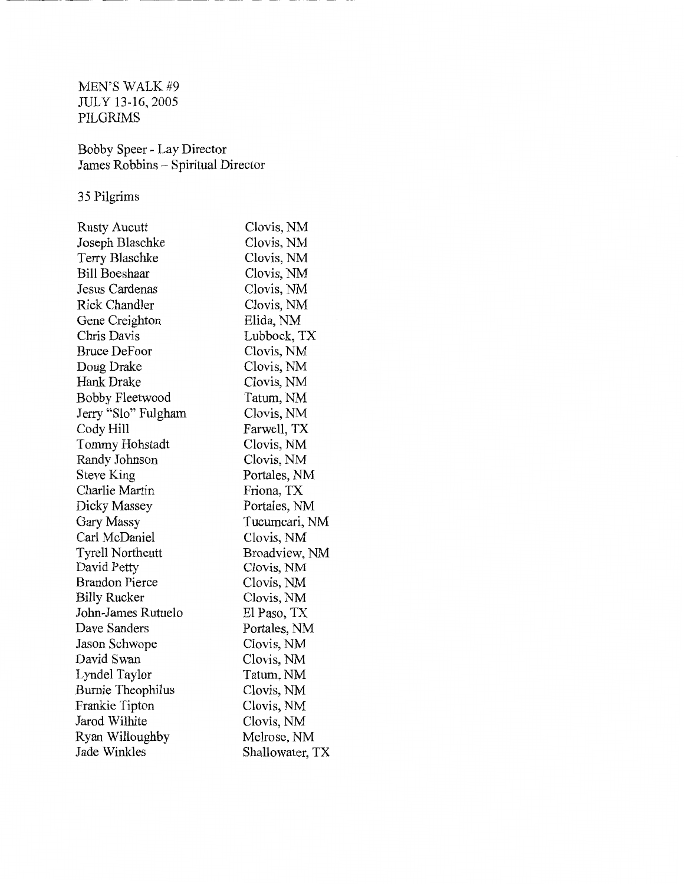MEN'S WALK #9 JULY 13-16,2005 PILGRIMS

Bobby Speer- Lay Director James Robbins- Spiritual Director

35 Pilgrims

| <b>Rusty Aucutt</b>     | Clovis, NM      |
|-------------------------|-----------------|
| Joseph Blaschke         | Clovis, NM      |
| Terry Blaschke          | Clovis, NM      |
| <b>Bill Boeshaar</b>    | Clovis, NM      |
| Jesus Cardenas          | Clovis, NM      |
| <b>Rick Chandler</b>    | Clovis, NM      |
| Gene Creighton          | Elida, NM       |
| Chris Davis             | Lubbock, TX     |
| <b>Bruce DeFoor</b>     | Clovis, NM      |
| Doug Drake              | Clovis, NM      |
| Hank Drake              | Clovis, NM      |
| <b>Bobby Fleetwood</b>  | Tatum, NM       |
| Jerry "Slo" Fulgham     | Clovis, NM      |
| Cody Hill               | Farwell, TX     |
| Tommy Hohstadt          | Clovis, NM      |
| Randy Johnson           | Clovis, NM      |
| Steve King              | Portales, NM    |
| Charlie Martin          | Friona, TX      |
| Dicky Massey            | Portales, NM    |
| Gary Massy              | Tucumcari, NM   |
| Carl McDaniel           | Clovis, NM      |
| <b>Tyrell Northcutt</b> | Broadview, NM   |
| David Petty             | Clovis, NM      |
| Brandon Pierce          | Clovis, NM      |
| <b>Billy Rucker</b>     | Clovis, NM      |
| John-James Rutuelo      | El Paso, TX     |
| Dave Sanders            | Portales, NM    |
| Jason Schwope           | Clovis, NM      |
| David Swan              | Clovis, NM      |
| Lyndel Taylor           | Tatum, NM       |
| Burnie Theophilus       | Clovis, NM      |
| Frankie Tipton          | Clovis, NM      |
| Jarod Wilhite           | Clovis, NM      |
| Ryan Willoughby         | Melrose, NM     |
| Jade Winkles            | Shallowater, TX |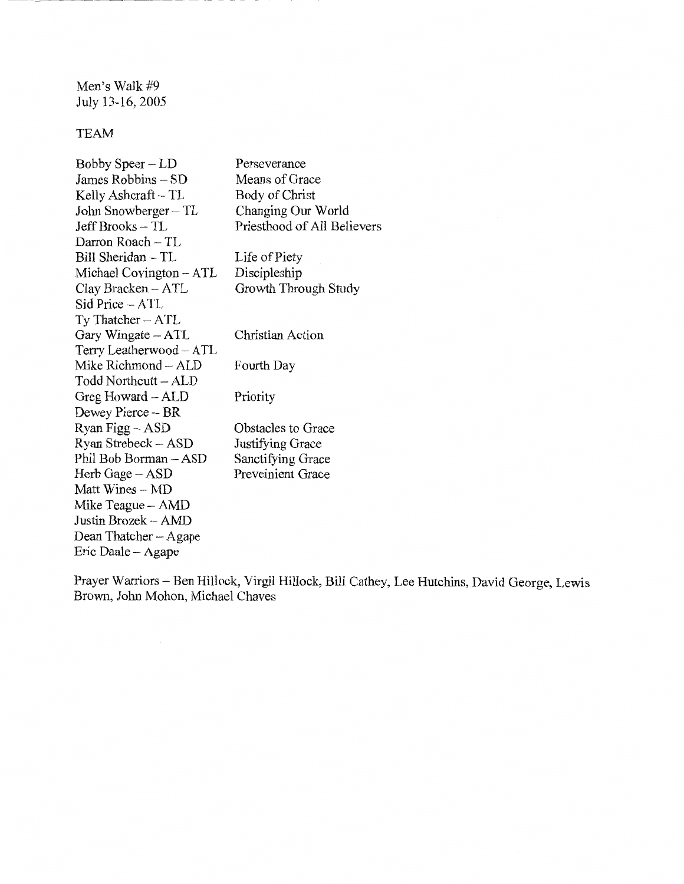Men's Walk #9 July 13-16, 2005

## TEAM

| Bobby Speer – LD        | Perseverance                |
|-------------------------|-----------------------------|
| James Robbins – SD      | Means of Grace              |
| Kelly Ashcraft – TL     | Body of Christ              |
| John Snowberger – TL    | Changing Our World          |
| Jeff Brooks – TL        | Priesthood of All Believers |
| Darron Roach - TL       |                             |
| Bill Sheridan - TL      | Life of Piety               |
| Michael Covington – ATL | Discipleship                |
| Clay Bracken - ATL      | Growth Through Study        |
| Sid Price – ATL         |                             |
| Ty Thatcher - ATL       |                             |
| Gary Wingate - ATL      | Christian Action            |
| Terry Leatherwood - ATL |                             |
| Mike Richmond - ALD     | Fourth Day                  |
| Todd Northcutt – ALD    |                             |
| Greg Howard – ALD       | Priority                    |
| Dewey Pierce – BR       |                             |
| Ryan Figg - ASD         | Obstacles to Grace          |
| Ryan Strebeck - ASD     | Justifying Grace            |
| Phil Bob Borman - ASD   | Sanctifying Grace           |
| Herb Gage – ASD         | Preveinient Grace           |
| Matt Wines – MD         |                             |
| Mike Teague - AMD       |                             |
| Justin Brozek – AMD     |                             |
| Dean Thatcher - Agape   |                             |
| Eric Daale – Agape      |                             |

Prayer Warriors- Ben Hillock, Virgil Hillock, Bill Cathey, Lee Hutchins, David George, Lewis Brown, John Mohon, Michael Chaves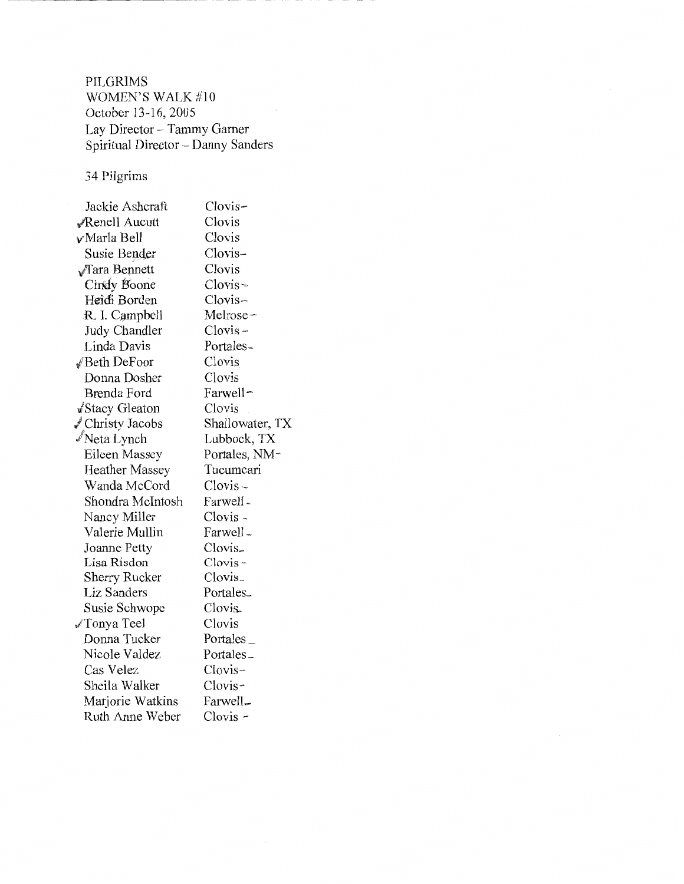PILGRIMS WOMEN'S WALK  $\#10$ October 13-16, 2005 Lay Director- Tammy Gamer Spiritual Director- Danny Sanders

# 34 Pilgrims

| Jackie Ashcraft          | Clovis-               |
|--------------------------|-----------------------|
| Renell Aucutt            | Clovis                |
| v∕Marla Bell             | Clovis                |
| Susie Bender             | Clovis-               |
| $\sqrt{\ }$ Tara Bennett | Clovis                |
| Cindy Boone              | $Clovis -$            |
| Heich Borden             | Clovis-               |
| R. I. Campbell           | Melrose –             |
| Judy Chandler            | $Clovis -$            |
| Linda Davis              | Portales-             |
| √Beth DeFoor             | Clovis                |
| Donna Dosher             | Clovis                |
| Brenda Ford              | Farwell-              |
| √Stacy Gleaton           | Clovis                |
| √ Christy Jacobs         | Shallowater, TX       |
| Neta Lynch               | Lubbock, TX           |
| Eileen Massey            | Portales, NM+         |
| <b>Heather Massey</b>    | Tucumcari             |
| Wanda McCord             | $Clovis -$            |
| Shondra McIntosh         | Farwell-              |
| Nancy Miller             | Clovis -              |
| Valerie Mullin           | Farwell-              |
| Joanne Petty             | Clovis.               |
| Lisa Risdon              | $Clovis -$            |
| Sherry Rucker            | Clovis <sub>-</sub>   |
| Liz Sanders              | Portales <sub>-</sub> |
| Susie Schwope            | Clovis.               |
| √Tonya Teel              | Clovis                |
| Donna Tucker             | Portales_             |
| Nicole Valdez            | Portales_             |
| Cas Velez                | $Clovis-$             |
| Sheila Walker            | Clovis                |
| Marjorie Watkins         | Farwell-              |
| Ruth Anne Weber          | Clovis -              |

 $\overline{\phantom{a}}$